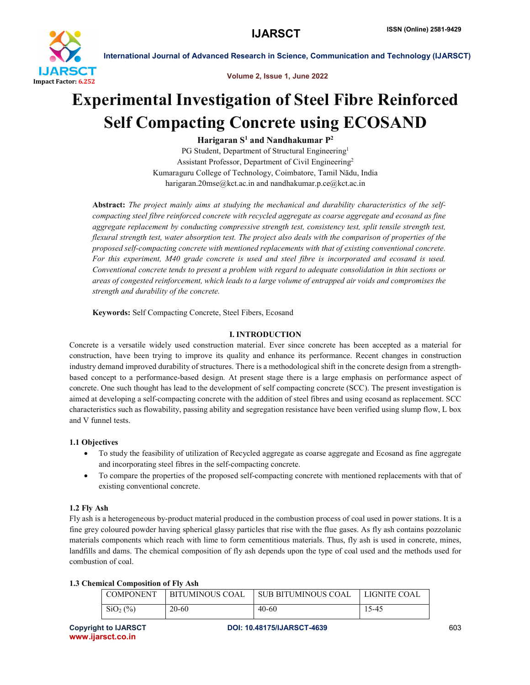

International Journal of Advanced Research in Science, Communication and Technology (IJARSCT)



# Experimental Investigation of Steel Fibre Reinforced Self Compacting Concrete using ECOSAND

Harigaran  $S^1$  and Nandhakumar  $P^2$ 

PG Student, Department of Structural Engineering<sup>1</sup> Assistant Professor, Department of Civil Engineering2 Kumaraguru College of Technology, Coimbatore, Tamil Nādu, India harigaran.20mse@kct.ac.in and nandhakumar.p.ce@kct.ac.in

Abstract: *The project mainly aims at studying the mechanical and durability characteristics of the selfcompacting steel fibre reinforced concrete with recycled aggregate as coarse aggregate and ecosand as fine aggregate replacement by conducting compressive strength test, consistency test, split tensile strength test, flexural strength test, water absorption test. The project also deals with the comparison of properties of the proposed self-compacting concrete with mentioned replacements with that of existing conventional concrete. For this experiment, M40 grade concrete is used and steel fibre is incorporated and ecosand is used. Conventional concrete tends to present a problem with regard to adequate consolidation in thin sections or areas of congested reinforcement, which leads to a large volume of entrapped air voids and compromises the strength and durability of the concrete.*

Keywords: Self Compacting Concrete, Steel Fibers, Ecosand

# I. INTRODUCTION

Concrete is a versatile widely used construction material. Ever since concrete has been accepted as a material for construction, have been trying to improve its quality and enhance its performance. Recent changes in construction industry demand improved durability of structures. There is a methodological shift in the concrete design from a strengthbased concept to a performance-based design. At present stage there is a large emphasis on performance aspect of concrete. One such thought has lead to the development of self compacting concrete (SCC). The present investigation is aimed at developing a self-compacting concrete with the addition of steel fibres and using ecosand as replacement. SCC characteristics such as flowability, passing ability and segregation resistance have been verified using slump flow, L box and V funnel tests.

# 1.1 Objectives

- To study the feasibility of utilization of Recycled aggregate as coarse aggregate and Ecosand as fine aggregate and incorporating steel fibres in the self-compacting concrete.
- To compare the properties of the proposed self-compacting concrete with mentioned replacements with that of existing conventional concrete.

# 1.2 Fly Ash

Fly ash is a heterogeneous by-product material produced in the combustion process of coal used in power stations. It is a fine grey coloured powder having spherical glassy particles that rise with the flue gases. As fly ash contains pozzolanic materials components which reach with lime to form cementitious materials. Thus, fly ash is used in concrete, mines, landfills and dams. The chemical composition of fly ash depends upon the type of coal used and the methods used for combustion of coal.

# 1.3 Chemical Composition of Fly Ash

| <b>COMPONENT</b> | <b>BITUMINOUS COAL</b> | SUB BITUMINOUS COAL | LIGNITE COAL |
|------------------|------------------------|---------------------|--------------|
| $SiO2(\%)$       | 20-60                  | 40-60               | 15-45        |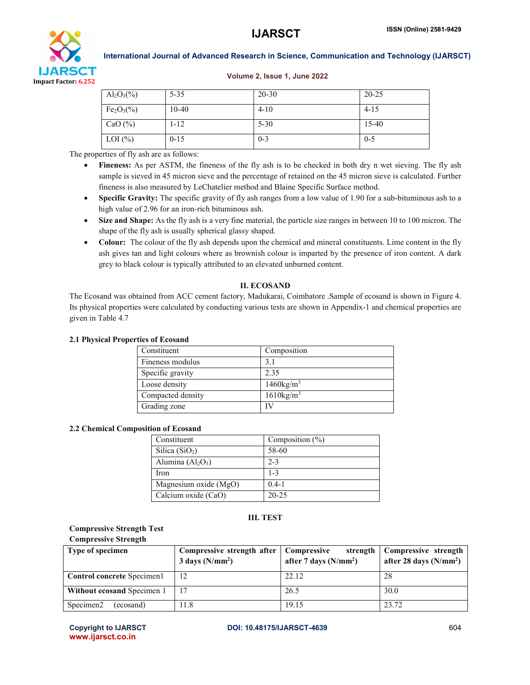

International Journal of Advanced Research in Science, Communication and Technology (IJARSCT)

#### Volume 2, Issue 1, June 2022

| $Al_2O_3(\%)$ | $5 - 35$ | $20 - 30$ | $20 - 25$ |
|---------------|----------|-----------|-----------|
| $Fe2O3(\%)$   | $10-40$  | $4 - 10$  | $4 - 15$  |
| CaO $(\% )$   | $1 - 12$ | $5 - 30$  | $15 - 40$ |
| LOI $(\% )$   | $0 - 15$ | $0 - 3$   | $0 - 5$   |

The properties of fly ash are as follows:

- Fineness: As per ASTM, the fineness of the fly ash is to be checked in both dry n wet sieving. The fly ash sample is sieved in 45 micron sieve and the percentage of retained on the 45 micron sieve is calculated. Further fineness is also measured by LeChatelier method and Blaine Specific Surface method.
- Specific Gravity: The specific gravity of fly ash ranges from a low value of 1.90 for a sub-bituminous ash to a high value of 2.96 for an iron-rich bituminous ash.
- Size and Shape: As the fly ash is a very fine material, the particle size ranges in between 10 to 100 micron. The shape of the fly ash is usually spherical glassy shaped.
- Colour: The colour of the fly ash depends upon the chemical and mineral constituents. Lime content in the fly ash gives tan and light colours where as brownish colour is imparted by the presence of iron content. A dark grey to black colour is typically attributed to an elevated unburned content.

### II. ECOSAND

The Ecosand was obtained from ACC cement factory, Madukarai, Coimbatore .Sample of ecosand is shown in Figure 4. Its physical properties were calculated by conducting various tests are shown in Appendix-1 and chemical properties are given in Table 4.7

#### 2.1 Physical Properties of Ecosand

| Constituent       | Composition              |
|-------------------|--------------------------|
| Fineness modulus  | 3.1                      |
| Specific gravity  | 2.35                     |
| Loose density     | $1460$ kg/m <sup>3</sup> |
| Compacted density | $1610$ kg/m <sup>3</sup> |
| Grading zone      | IV                       |

#### 2.2 Chemical Composition of Ecosand

| Constituent           | Composition $(\% )$ |
|-----------------------|---------------------|
| Silica $(SiO2)$       | 58-60               |
| Alumina $(Al_2O_3)$   | $2 - 3$             |
| Iron                  | $1 - 3$             |
| Magnesium oxide (MgO) | $0.4 - 1$           |
| Calcium oxide (CaO)   | $20 - 25$           |

### III. TEST

### Compressive Strength Test Compressive Strength

| <b>Type of specimen</b>            | Compressive strength after<br>$3 \text{ days}$ (N/mm <sup>2</sup> ) | Compressive<br>strength<br>after 7 days $(N/mm2)$ | Compressive strength<br>after 28 days $(N/mm2)$ |  |
|------------------------------------|---------------------------------------------------------------------|---------------------------------------------------|-------------------------------------------------|--|
| Control concrete Specimen1         | 12                                                                  | 22.12                                             | 28                                              |  |
| Without ecosand Specimen 1         |                                                                     | 26.5                                              | 30.0                                            |  |
| Specimen <sub>2</sub><br>(ecosand) | 11.8                                                                | 19.15                                             | 23.72                                           |  |

www.ijarsct.co.in